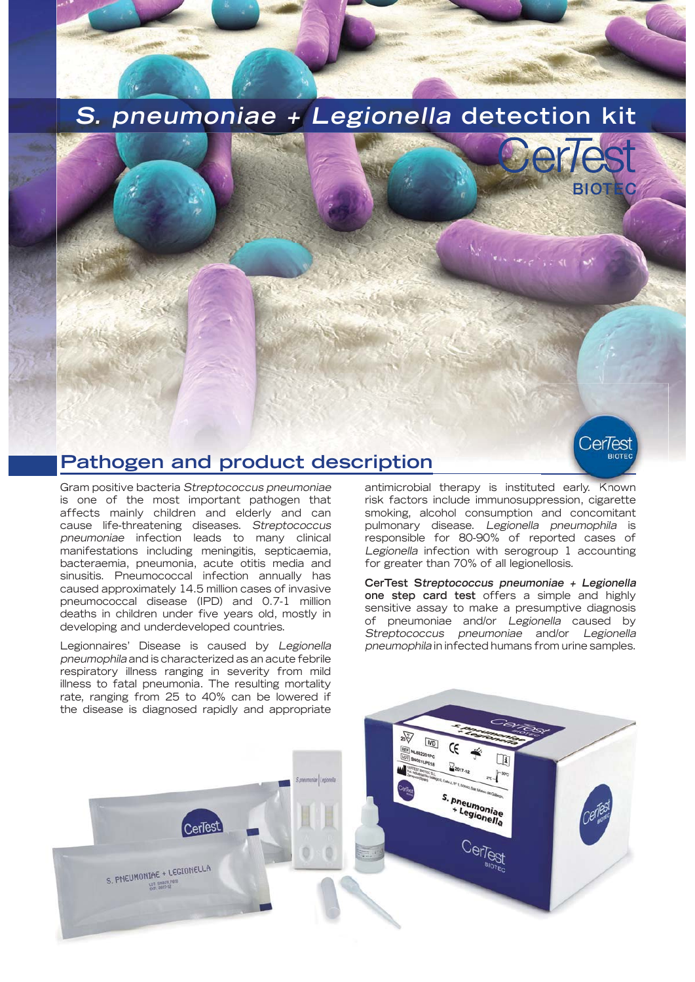## **S. pneumoniae + Legionella detection kit**



CerTest

## **Pathogen and product description**

Gram positive bacteria Streptococcus pneumoniae is one of the most important pathogen that affects mainly children and elderly and can cause life-threatening diseases. Streptococcus pneumoniae infection leads to many clinical manifestations including meningitis, septicaemia, bacteraemia, pneumonia, acute otitis media and sinusitis. Pneumococcal infection annually has caused approximately 14.5 million cases of invasive pneumococcal disease (IPD) and 0.7-1 million deaths in children under five years old, mostly in developing and underdeveloped countries.

Legionnaires' Disease is caused by Legionella pneumophila and is characterized as an acute febrile respiratory illness ranging in severity from mild illness to fatal pneumonia. The resulting mortality rate, ranging from 25 to 40% can be lowered if the disease is diagnosed rapidly and appropriate

antimicrobial therapy is instituted early. Known risk factors include immunosuppression, cigarette smoking, alcohol consumption and concomitant pulmonary disease. Legionella pneumophila is responsible for 80-90% of reported cases of Legionella infection with serogroup 1 accounting for greater than 70% of all legionellosis.

**CerTest Streptococcus pneumoniae + Legionella one step card test** offers a simple and highly sensitive assay to make a presumptive diagnosis of pneumoniae and/or Legionella caused by Streptococcus pneumoniae and/or Legionella pneumophila in infected humans from urine samples.